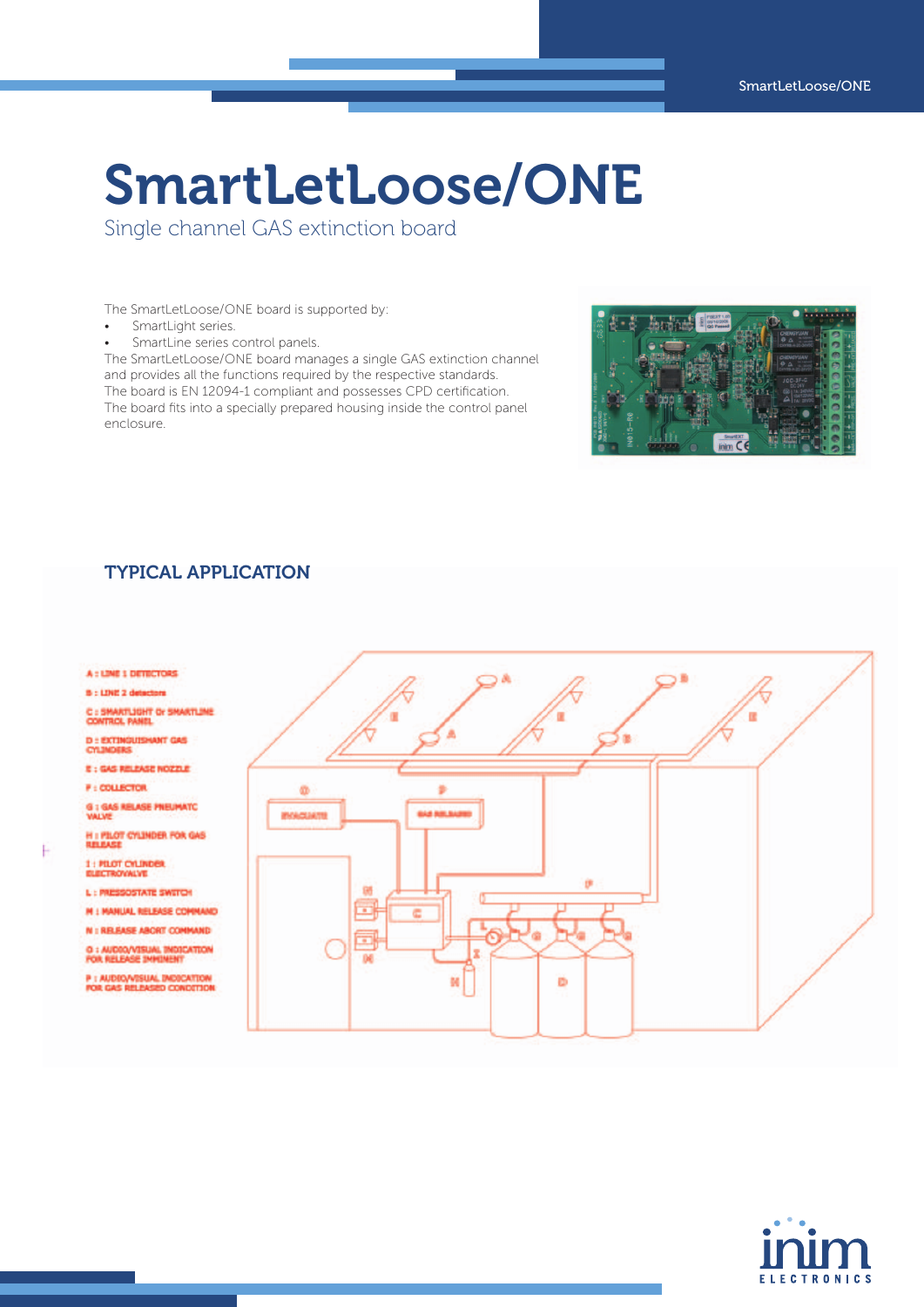# SmartLetLoose/ONE

Single channel GAS extinction board

The SmartLetLoose/ONE board is supported by:

- • SmartLight series.
- SmartLine series control panels.

The SmartLetLoose/ONE board manages a single GAS extinction channel and provides all the functions required by the respective standards. The board is EN 12094-1 compliant and possesses CPD certification. The board fits into a specially prepared housing inside the control panel enclosure.



## TYPICAL APPLICATION

#### A : LINE 1 DETECTORS

B : LINE 2 detectors

MITLIGHT OF SMARTLIN C<sub>1</sub>B **BOX PANEL** 

D : EXTINGUISHANT GAS

- E : GAS RELEASE NOZZLE
- **F: COLLECTOR**
- **G 1 GAS RELASE PREUMATO**

H I PILOT CYLINDER FOR GAS

1 : PILOT CYLINDER

F

L: PRESSOSTATE SWITCH

**M : MANUAL RELEASE COMMAND** 

N : RELEASE ABORT COMMAND

O : AUDIO/VISUAL INDI<br>FOR RELEASE IMMINENT

.<br>P : AUDIO/VISUAL INDICATI<br>FOR GAS RELEASED CONDIT **D. CONDITA**